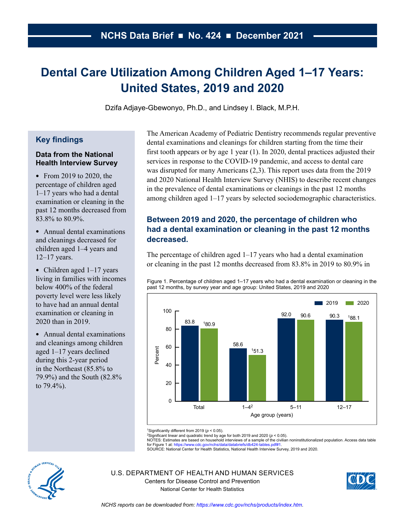# <span id="page-0-0"></span>**Dental Care Utilization Among Children Aged 1–17 Years: United States, 2019 and 2020**

Dzifa Adjaye-Gbewonyo, Ph.D., and Lindsey I. Black, M.P.H.

# **Key findings**

## **Data from the National Health Interview Survey**

• From 2019 to 2020, the percentage of children aged 1–17 years who had a dental examination or cleaning in the past 12 months decreased from 83.8% to 80.9%.

● Annual dental examinations and cleanings decreased for children aged 1–4 years and 12–17 years.

• Children aged  $1-17$  years living in families with incomes below 400% of the federal poverty level were less likely to have had an annual dental examination or cleaning in 2020 than in 2019.

• Annual dental examinations and cleanings among children aged 1–17 years declined during this 2-year period in the Northeast (85.8% to 79.9%) and the South (82.8% to 79.4%).

The American Academy of Pediatric Dentistry recommends regular preventive dental examinations and cleanings for children starting from the time their first tooth appears or by age 1 year (1). In 2020, dental practices adjusted their services in response to the COVID-19 pandemic, and access to dental care was disrupted for many Americans (2,3). This report uses data from the 2019 and 2020 National Health Interview Survey (NHIS) to describe recent changes in the prevalence of dental examinations or cleanings in the past 12 months among children aged 1–17 years by selected sociodemographic characteristics.

# **Between 2019 and 2020, the percentage of children who had a dental examination or cleaning in the past 12 months decreased.**

The percentage of children aged 1–17 years who had a dental examination or cleaning in the past 12 months decreased from 83.8% in 2019 to 80.9% in

Figure 1. Percentage of children aged 1–17 years who had a dental examination or cleaning in the past 12 months, by survey year and age group: United States, 2019 and 2020



1Significantly different from 2019 (*p* < 0.05).

2Significant linear and quadratic trend by age for both 2019 and 2020 (*p* < 0.05).

NOTES: Estimates are based on household interviews of a sample of the civilian noninstitutionalized population. Access data table<br>for Figure 1 at: [https://www.cdc.gov/nchs/data/databriefs/db424-tables.pdf#1.](https://www.cdc.gov/nchs/data/databriefs/db424-tables.pdf#1)

SOURCE: National Center for Health Statistics, National Health Interview Survey, 2019 and 2020.



U.S. DEPARTMENT OF HEALTH AND HUMAN SERVICES Centers for Disease Control and Prevention National Center for Health Statistics

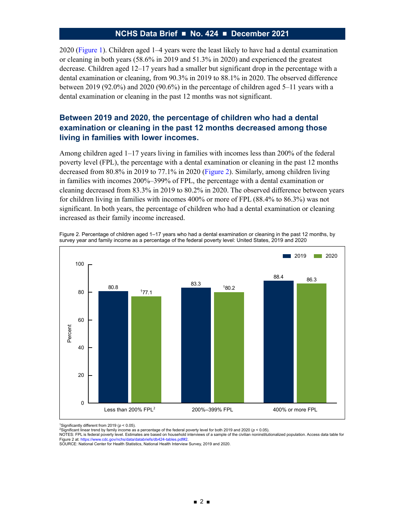## **NCHS Data Brief ■ No. 424 ■ December 2021**

2020 [\(Figure 1\)](#page-0-0). Children aged 1–4 years were the least likely to have had a dental examination or cleaning in both years (58.6% in 2019 and 51.3% in 2020) and experienced the greatest decrease. Children aged 12–17 years had a smaller but significant drop in the percentage with a dental examination or cleaning, from 90.3% in 2019 to 88.1% in 2020. The observed difference between 2019 (92.0%) and 2020 (90.6%) in the percentage of children aged  $5-11$  years with a dental examination or cleaning in the past 12 months was not significant.

## **Between 2019 and 2020, the percentage of children who had a dental examination or cleaning in the past 12 months decreased among those living in families with lower incomes.**

Among children aged 1–17 years living in families with incomes less than 200% of the federal poverty level (FPL), the percentage with a dental examination or cleaning in the past 12 months decreased from 80.8% in 2019 to 77.1% in 2020 (Figure 2). Similarly, among children living in families with incomes 200%–399% of FPL, the percentage with a dental examination or cleaning decreased from 83.3% in 2019 to 80.2% in 2020. The observed difference between years for children living in families with incomes 400% or more of FPL (88.4% to 86.3%) was not significant. In both years, the percentage of children who had a dental examination or cleaning increased as their family income increased.

Figure 2. Percentage of children aged 1–17 years who had a dental examination or cleaning in the past 12 months, by survey year and family income as a percentage of the federal poverty level: United States, 2019 and 2020



1Significantly different from 2019 (*p* < 0.05).

2Significant linear trend by family income as a percentage of the federal poverty level for both 2019 and 2020 (*p* < 0.05).

NOTES: FPL is federal poverty level. Estimates are based on household interviews of a sample of the civilian noninstitutionalized population. Access data table for Figure 2 at: [https://www.cdc.gov/nchs/data/databriefs/db424-tables.pdf#2.](https://www.cdc.gov/nchs/data/databriefs/db424-tables.pdf#2) SOURCE: National Center for Health Statistics, National Health Interview Survey, 2019 and 2020.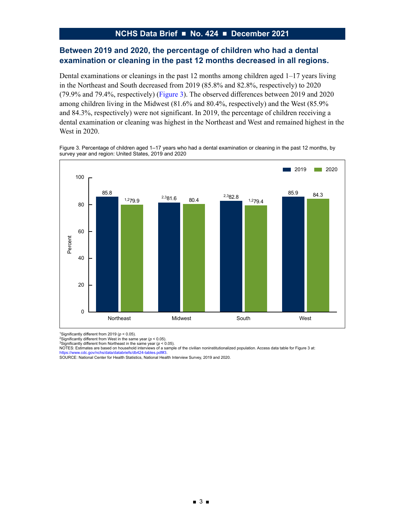## **Between 2019 and 2020, the percentage of children who had a dental examination or cleaning in the past 12 months decreased in all regions.**

Dental examinations or cleanings in the past 12 months among children aged 1–17 years living in the Northeast and South decreased from 2019 (85.8% and 82.8%, respectively) to 2020 (79.9% and 79.4%, respectively) (Figure 3). The observed differences between 2019 and 2020 among children living in the Midwest (81.6% and 80.4%, respectively) and the West (85.9% and 84.3%, respectively) were not significant. In 2019, the percentage of children receiving a dental examination or cleaning was highest in the Northeast and West and remained highest in the West in 2020.

Figure 3. Percentage of children aged 1–17 years who had a dental examination or cleaning in the past 12 months, by survey year and region: United States, 2019 and 2020



1Significantly different from 2019 (*p* < 0.05).

2Significantly different from West in the same year (*p* < 0.05).

<sup>3</sup>Significantly different from Northeast in the same year ( $p < 0.05$ ).

NOTES: Estimates are based on household interviews of a sample of the civilian noninstitutionalized population. Access data table for Figure 3 at:

[https://www.cdc.gov/nchs/data/databriefs/db424-tables.pdf#3.](https://www.cdc.gov/nchs/data/databriefs/db424-tables.pdf#3)

SOURCE: National Center for Health Statistics, National Health Interview Survey, 2019 and 2020.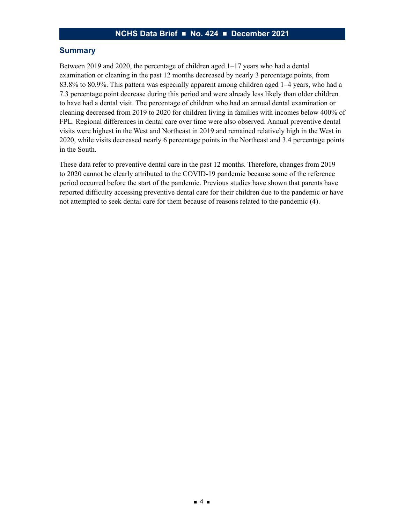### **Summary**

Between 2019 and 2020, the percentage of children aged 1–17 years who had a dental examination or cleaning in the past 12 months decreased by nearly 3 percentage points, from 83.8% to 80.9%. This pattern was especially apparent among children aged 1–4 years, who had a 7.3 percentage point decrease during this period and were already less likely than older children to have had a dental visit. The percentage of children who had an annual dental examination or cleaning decreased from 2019 to 2020 for children living in families with incomes below 400% of FPL. Regional differences in dental care over time were also observed. Annual preventive dental visits were highest in the West and Northeast in 2019 and remained relatively high in the West in 2020, while visits decreased nearly 6 percentage points in the Northeast and 3.4 percentage points in the South.

These data refer to preventive dental care in the past 12 months. Therefore, changes from 2019 to 2020 cannot be clearly attributed to the COVID-19 pandemic because some of the reference period occurred before the start of the pandemic. Previous studies have shown that parents have reported difficulty accessing preventive dental care for their children due to the pandemic or have not attempted to seek dental care for them because of reasons related to the pandemic (4).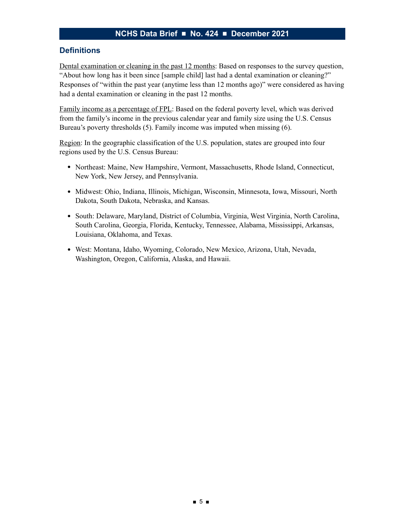# **NCHS Data Brief ■ No. 424 ■ December 2021**

## **Definitions**

Dental examination or cleaning in the past 12 months: Based on responses to the survey question, "About how long has it been since [sample child] last had a dental examination or cleaning?" Responses of "within the past year (anytime less than 12 months ago)" were considered as having had a dental examination or cleaning in the past 12 months.

Family income as a percentage of FPL: Based on the federal poverty level, which was derived from the family's income in the previous calendar year and family size using the U.S. Census Bureau's poverty thresholds (5). Family income was imputed when missing (6).

Region: In the geographic classification of the U.S. population, states are grouped into four regions used by the U.S. Census Bureau:

- Northeast: Maine, New Hampshire, Vermont, Massachusetts, Rhode Island, Connecticut, New York, New Jersey, and Pennsylvania.
- Midwest: Ohio, Indiana, Illinois, Michigan, Wisconsin, Minnesota, Iowa, Missouri, North Dakota, South Dakota, Nebraska, and Kansas.
- South: Delaware, Maryland, District of Columbia, Virginia, West Virginia, North Carolina, South Carolina, Georgia, Florida, Kentucky, Tennessee, Alabama, Mississippi, Arkansas, Louisiana, Oklahoma, and Texas.
- West: Montana, Idaho, Wyoming, Colorado, New Mexico, Arizona, Utah, Nevada, Washington, Oregon, California, Alaska, and Hawaii.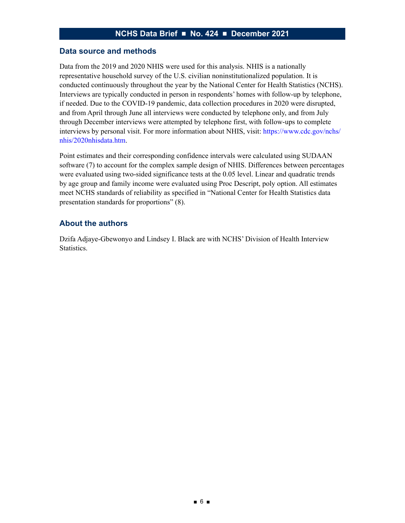#### **Data source and methods**

Data from the 2019 and 2020 NHIS were used for this analysis. NHIS is a nationally representative household survey of the U.S. civilian noninstitutionalized population. It is conducted continuously throughout the year by the National Center for Health Statistics (NCHS). Interviews are typically conducted in person in respondents' homes with follow-up by telephone, if needed. Due to the COVID-19 pandemic, data collection procedures in 2020 were disrupted, and from April through June all interviews were conducted by telephone only, and from July through December interviews were attempted by telephone first, with follow-ups to complete interviews by personal visit. For more information about NHIS, visit: [https://www.cdc.gov/nchs/](https://www.cdc.gov/nchs/nhis/2020nhisdata.htm) [nhis/2020nhisdata.htm.](https://www.cdc.gov/nchs/nhis/2020nhisdata.htm)

Point estimates and their corresponding confidence intervals were calculated using SUDAAN software (7) to account for the complex sample design of NHIS. Differences between percentages were evaluated using two-sided significance tests at the 0.05 level. Linear and quadratic trends by age group and family income were evaluated using Proc Descript, poly option. All estimates meet NCHS standards of reliability as specified in "National Center for Health Statistics data presentation standards for proportions" (8).

### **About the authors**

Dzifa Adjaye-Gbewonyo and Lindsey I. Black are with NCHS' Division of Health Interview Statistics.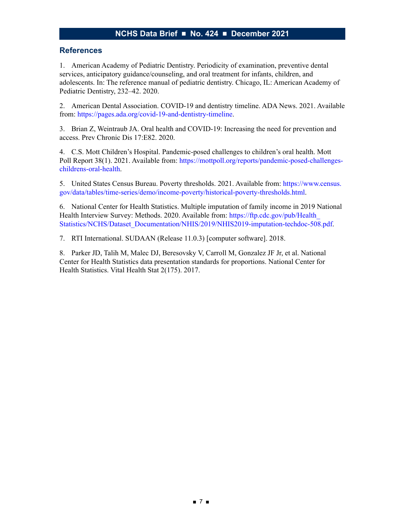## **NCHS Data Brief ■ No. 424 ■ December 2021**

#### **References**

1. American Academy of Pediatric Dentistry. Periodicity of examination, preventive dental services, anticipatory guidance/counseling, and oral treatment for infants, children, and adolescents. In: The reference manual of pediatric dentistry. Chicago, IL: American Academy of Pediatric Dentistry, 232–42. 2020.

2. American Dental Association. COVID-19 and dentistry timeline. ADA News. 2021. Available from: [https://pages.ada.org/covid-19-and-dentistry-timeline.](https://pages.ada.org/covid-19-and-dentistry-timeline)

3. Brian Z, Weintraub JA. Oral health and COVID-19: Increasing the need for prevention and access. Prev Chronic Dis 17:E82. 2020.

4. C.S. Mott Children's Hospital. Pandemic-posed challenges to children's oral health. Mott Poll Report 38(1). 2021. Available from: [https://mottpoll.org/reports/pandemic-posed-challenges](https://mottpoll.org/reports/pandemic-posed-challenges-childrens-oral-health)[childrens-oral-health.](https://mottpoll.org/reports/pandemic-posed-challenges-childrens-oral-health)

5. United States Census Bureau. Poverty thresholds. 2021. Available from: [https://www.census.](https://www.census.gov/data/tables/time-series/demo/income-poverty/historical-poverty-thresholds.html) [gov/data/tables/time-series/demo/income-poverty/historical-poverty-thresholds.html](https://www.census.gov/data/tables/time-series/demo/income-poverty/historical-poverty-thresholds.html).

6. National Center for Health Statistics. Multiple imputation of family income in 2019 National Health Interview Survey: Methods. 2020. Available from: [https://ftp.cdc.gov/pub/Health\\_](https://ftp.cdc.gov/pub/Health_Statistics/NCHS/Dataset_Documentation/NHIS/2019/NHIS2019-imputation-techdoc-508.pdf) [Statistics/NCHS/Dataset\\_Documentation/NHIS/2019/NHIS2019-imputation-techdoc-508.pdf.](https://ftp.cdc.gov/pub/Health_Statistics/NCHS/Dataset_Documentation/NHIS/2019/NHIS2019-imputation-techdoc-508.pdf)

7. RTI International. SUDAAN (Release 11.0.3) [computer software]. 2018.

8. Parker JD, Talih M, Malec DJ, Beresovsky V, Carroll M, Gonzalez JF Jr, et al. National Center for Health Statistics data presentation standards for proportions. National Center for Health Statistics. Vital Health Stat 2(175). 2017.